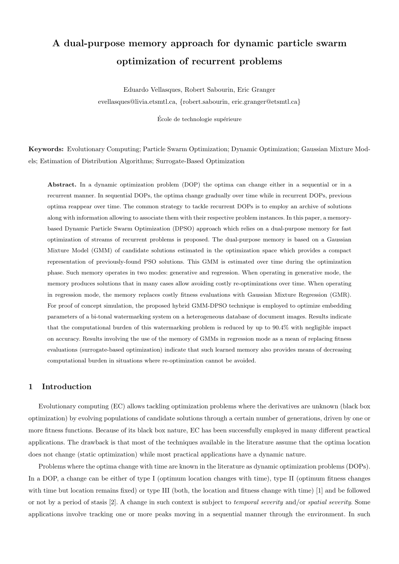# A dual-purpose memory approach for dynamic particle swarm optimization of recurrent problems

Eduardo Vellasques, Robert Sabourin, Eric Granger evellasques@livia.etsmtl.ca, {robert.sabourin, eric.granger@etsmtl.ca}

École de technologie supérieure

Keywords: Evolutionary Computing; Particle Swarm Optimization; Dynamic Optimization; Gaussian Mixture Models; Estimation of Distribution Algorithms; Surrogate-Based Optimization

Abstract. In a dynamic optimization problem (DOP) the optima can change either in a sequential or in a recurrent manner. In sequential DOPs, the optima change gradually over time while in recurrent DOPs, previous optima reappear over time. The common strategy to tackle recurrent DOPs is to employ an archive of solutions along with information allowing to associate them with their respective problem instances. In this paper, a memorybased Dynamic Particle Swarm Optimization (DPSO) approach which relies on a dual-purpose memory for fast optimization of streams of recurrent problems is proposed. The dual-purpose memory is based on a Gaussian Mixture Model (GMM) of candidate solutions estimated in the optimization space which provides a compact representation of previously-found PSO solutions. This GMM is estimated over time during the optimization phase. Such memory operates in two modes: generative and regression. When operating in generative mode, the memory produces solutions that in many cases allow avoiding costly re-optimizations over time. When operating in regression mode, the memory replaces costly fitness evaluations with Gaussian Mixture Regression (GMR). For proof of concept simulation, the proposed hybrid GMM-DPSO technique is employed to optimize embedding parameters of a bi-tonal watermarking system on a heterogeneous database of document images. Results indicate that the computational burden of this watermarking problem is reduced by up to 90.4% with negligible impact on accuracy. Results involving the use of the memory of GMMs in regression mode as a mean of replacing fitness evaluations (surrogate-based optimization) indicate that such learned memory also provides means of decreasing computational burden in situations where re-optimization cannot be avoided.

## 1 Introduction

Evolutionary computing (EC) allows tackling optimization problems where the derivatives are unknown (black box optimization) by evolving populations of candidate solutions through a certain number of generations, driven by one or more fitness functions. Because of its black box nature, EC has been successfully employed in many different practical applications. The drawback is that most of the techniques available in the literature assume that the optima location does not change (static optimization) while most practical applications have a dynamic nature.

Problems where the optima change with time are known in the literature as dynamic optimization problems (DOPs). In a DOP, a change can be either of type I (optimum location changes with time), type II (optimum fitness changes with time but location remains fixed) or type III (both, the location and fitness change with time) [1] and be followed or not by a period of stasis [2]. A change in such context is subject to temporal severity and/or spatial severity. Some applications involve tracking one or more peaks moving in a sequential manner through the environment. In such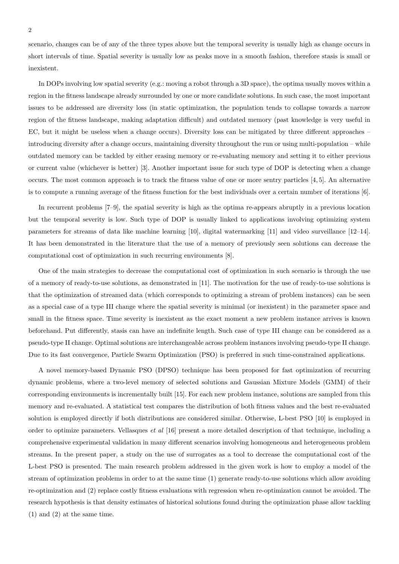scenario, changes can be of any of the three types above but the temporal severity is usually high as change occurs in short intervals of time. Spatial severity is usually low as peaks move in a smooth fashion, therefore stasis is small or inexistent.

In DOPs involving low spatial severity (e.g.: moving a robot through a 3D space), the optima usually moves within a region in the fitness landscape already surrounded by one or more candidate solutions. In such case, the most important issues to be addressed are diversity loss (in static optimization, the population tends to collapse towards a narrow region of the fitness landscape, making adaptation difficult) and outdated memory (past knowledge is very useful in EC, but it might be useless when a change occurs). Diversity loss can be mitigated by three different approaches – introducing diversity after a change occurs, maintaining diversity throughout the run or using multi-population – while outdated memory can be tackled by either erasing memory or re-evaluating memory and setting it to either previous or current value (whichever is better) [3]. Another important issue for such type of DOP is detecting when a change occurs. The most common approach is to track the fitness value of one or more sentry particles [4, 5]. An alternative is to compute a running average of the fitness function for the best individuals over a certain number of iterations [6].

In recurrent problems [7–9], the spatial severity is high as the optima re-appears abruptly in a previous location but the temporal severity is low. Such type of DOP is usually linked to applications involving optimizing system parameters for streams of data like machine learning [10], digital watermarking [11] and video surveillance [12–14]. It has been demonstrated in the literature that the use of a memory of previously seen solutions can decrease the computational cost of optimization in such recurring environments [8].

One of the main strategies to decrease the computational cost of optimization in such scenario is through the use of a memory of ready-to-use solutions, as demonstrated in [11]. The motivation for the use of ready-to-use solutions is that the optimization of streamed data (which corresponds to optimizing a stream of problem instances) can be seen as a special case of a type III change where the spatial severity is minimal (or inexistent) in the parameter space and small in the fitness space. Time severity is inexistent as the exact moment a new problem instance arrives is known beforehand. Put differently, stasis can have an indefinite length. Such case of type III change can be considered as a pseudo-type II change. Optimal solutions are interchangeable across problem instances involving pseudo-type II change. Due to its fast convergence, Particle Swarm Optimization (PSO) is preferred in such time-constrained applications.

A novel memory-based Dynamic PSO (DPSO) technique has been proposed for fast optimization of recurring dynamic problems, where a two-level memory of selected solutions and Gaussian Mixture Models (GMM) of their corresponding environments is incrementally built [15]. For each new problem instance, solutions are sampled from this memory and re-evaluated. A statistical test compares the distribution of both fitness values and the best re-evaluated solution is employed directly if both distributions are considered similar. Otherwise, L-best PSO [10] is employed in order to optimize parameters. Vellasques et al [16] present a more detailed description of that technique, including a comprehensive experimental validation in many different scenarios involving homogeneous and heterogeneous problem streams. In the present paper, a study on the use of surrogates as a tool to decrease the computational cost of the L-best PSO is presented. The main research problem addressed in the given work is how to employ a model of the stream of optimization problems in order to at the same time (1) generate ready-to-use solutions which allow avoiding re-optimization and (2) replace costly fitness evaluations with regression when re-optimization cannot be avoided. The research hypothesis is that density estimates of historical solutions found during the optimization phase allow tackling (1) and (2) at the same time.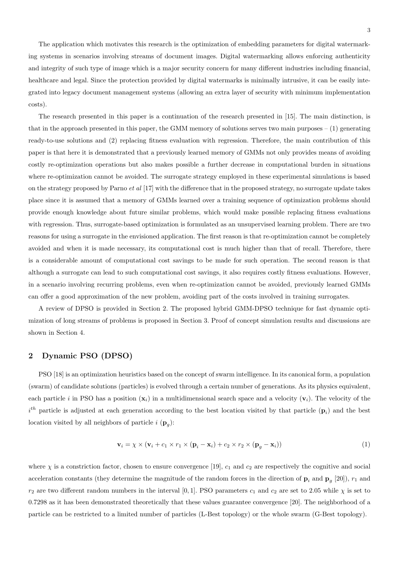The application which motivates this research is the optimization of embedding parameters for digital watermarking systems in scenarios involving streams of document images. Digital watermarking allows enforcing authenticity and integrity of such type of image which is a major security concern for many different industries including financial, healthcare and legal. Since the protection provided by digital watermarks is minimally intrusive, it can be easily integrated into legacy document management systems (allowing an extra layer of security with minimum implementation costs).

The research presented in this paper is a continuation of the research presented in [15]. The main distinction, is that in the approach presented in this paper, the GMM memory of solutions serves two main purposes  $- (1)$  generating ready-to-use solutions and (2) replacing fitness evaluation with regression. Therefore, the main contribution of this paper is that here it is demonstrated that a previously learned memory of GMMs not only provides means of avoiding costly re-optimization operations but also makes possible a further decrease in computational burden in situations where re-optimization cannot be avoided. The surrogate strategy employed in these experimental simulations is based on the strategy proposed by Parno  $et \, al$  [17] with the difference that in the proposed strategy, no surrogate update takes place since it is assumed that a memory of GMMs learned over a training sequence of optimization problems should provide enough knowledge about future similar problems, which would make possible replacing fitness evaluations with regression. Thus, surrogate-based optimization is formulated as an unsupervised learning problem. There are two reasons for using a surrogate in the envisioned application. The first reason is that re-optimization cannot be completely avoided and when it is made necessary, its computational cost is much higher than that of recall. Therefore, there is a considerable amount of computational cost savings to be made for such operation. The second reason is that although a surrogate can lead to such computational cost savings, it also requires costly fitness evaluations. However, in a scenario involving recurring problems, even when re-optimization cannot be avoided, previously learned GMMs can offer a good approximation of the new problem, avoiding part of the costs involved in training surrogates.

A review of DPSO is provided in Section 2. The proposed hybrid GMM-DPSO technique for fast dynamic optimization of long streams of problems is proposed in Section 3. Proof of concept simulation results and discussions are shown in Section 4.

## 2 Dynamic PSO (DPSO)

PSO [18] is an optimization heuristics based on the concept of swarm intelligence. In its canonical form, a population (swarm) of candidate solutions (particles) is evolved through a certain number of generations. As its physics equivalent, each particle i in PSO has a position  $(\mathbf{x}_i)$  in a multidimensional search space and a velocity  $(\mathbf{v}_i)$ . The velocity of the  $i^{th}$  particle is adjusted at each generation according to the best location visited by that particle  $(\mathbf{p}_i)$  and the best location visited by all neighbors of particle  $i(\mathbf{p}_g)$ :

$$
\mathbf{v}_i = \chi \times (\mathbf{v}_i + c_1 \times r_1 \times (\mathbf{p}_i - \mathbf{x}_i) + c_2 \times r_2 \times (\mathbf{p}_g - \mathbf{x}_i))
$$
(1)

where  $\chi$  is a constriction factor, chosen to ensure convergence [19],  $c_1$  and  $c_2$  are respectively the cognitive and social acceleration constants (they determine the magnitude of the random forces in the direction of  $\mathbf{p}_i$  and  $\mathbf{p}_g$  [20]),  $r_1$  and  $r_2$  are two different random numbers in the interval [0, 1]. PSO parameters  $c_1$  and  $c_2$  are set to 2.05 while  $\chi$  is set to 0.7298 as it has been demonstrated theoretically that these values guarantee convergence [20]. The neighborhood of a particle can be restricted to a limited number of particles (L-Best topology) or the whole swarm (G-Best topology).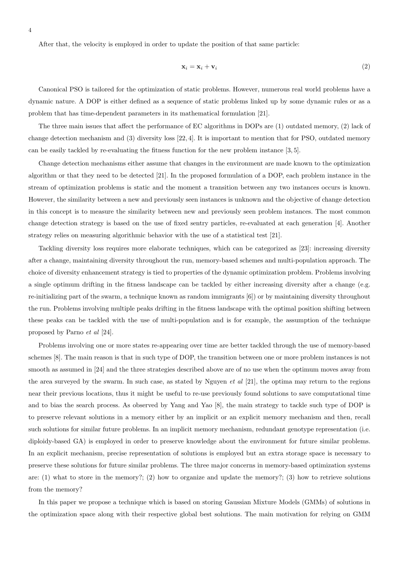After that, the velocity is employed in order to update the position of that same particle:

$$
\mathbf{x}_i = \mathbf{x}_i + \mathbf{v}_i \tag{2}
$$

Canonical PSO is tailored for the optimization of static problems. However, numerous real world problems have a dynamic nature. A DOP is either defined as a sequence of static problems linked up by some dynamic rules or as a problem that has time-dependent parameters in its mathematical formulation [21].

The three main issues that affect the performance of EC algorithms in DOPs are (1) outdated memory, (2) lack of change detection mechanism and (3) diversity loss [22, 4]. It is important to mention that for PSO, outdated memory can be easily tackled by re-evaluating the fitness function for the new problem instance [3, 5].

Change detection mechanisms either assume that changes in the environment are made known to the optimization algorithm or that they need to be detected [21]. In the proposed formulation of a DOP, each problem instance in the stream of optimization problems is static and the moment a transition between any two instances occurs is known. However, the similarity between a new and previously seen instances is unknown and the objective of change detection in this concept is to measure the similarity between new and previously seen problem instances. The most common change detection strategy is based on the use of fixed sentry particles, re-evaluated at each generation [4]. Another strategy relies on measuring algorithmic behavior with the use of a statistical test [21].

Tackling diversity loss requires more elaborate techniques, which can be categorized as [23]: increasing diversity after a change, maintaining diversity throughout the run, memory-based schemes and multi-population approach. The choice of diversity enhancement strategy is tied to properties of the dynamic optimization problem. Problems involving a single optimum drifting in the fitness landscape can be tackled by either increasing diversity after a change (e.g. re-initializing part of the swarm, a technique known as random immigrants [6]) or by maintaining diversity throughout the run. Problems involving multiple peaks drifting in the fitness landscape with the optimal position shifting between these peaks can be tackled with the use of multi-population and is for example, the assumption of the technique proposed by Parno et al [24].

Problems involving one or more states re-appearing over time are better tackled through the use of memory-based schemes [8]. The main reason is that in such type of DOP, the transition between one or more problem instances is not smooth as assumed in [24] and the three strategies described above are of no use when the optimum moves away from the area surveyed by the swarm. In such case, as stated by Nguyen et al [21], the optima may return to the regions near their previous locations, thus it might be useful to re-use previously found solutions to save computational time and to bias the search process. As observed by Yang and Yao [8], the main strategy to tackle such type of DOP is to preserve relevant solutions in a memory either by an implicit or an explicit memory mechanism and then, recall such solutions for similar future problems. In an implicit memory mechanism, redundant genotype representation (i.e. diploidy-based GA) is employed in order to preserve knowledge about the environment for future similar problems. In an explicit mechanism, precise representation of solutions is employed but an extra storage space is necessary to preserve these solutions for future similar problems. The three major concerns in memory-based optimization systems are: (1) what to store in the memory?; (2) how to organize and update the memory?; (3) how to retrieve solutions from the memory?

In this paper we propose a technique which is based on storing Gaussian Mixture Models (GMMs) of solutions in the optimization space along with their respective global best solutions. The main motivation for relying on GMM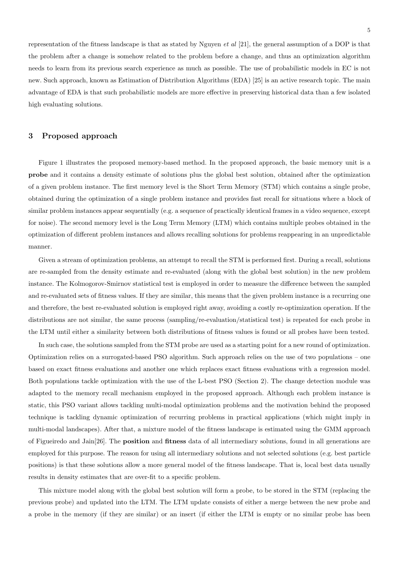representation of the fitness landscape is that as stated by Nguyen  $et al$  [21], the general assumption of a DOP is that the problem after a change is somehow related to the problem before a change, and thus an optimization algorithm needs to learn from its previous search experience as much as possible. The use of probabilistic models in EC is not new. Such approach, known as Estimation of Distribution Algorithms (EDA) [25] is an active research topic. The main advantage of EDA is that such probabilistic models are more effective in preserving historical data than a few isolated high evaluating solutions.

## 3 Proposed approach

Figure 1 illustrates the proposed memory-based method. In the proposed approach, the basic memory unit is a probe and it contains a density estimate of solutions plus the global best solution, obtained after the optimization of a given problem instance. The first memory level is the Short Term Memory (STM) which contains a single probe, obtained during the optimization of a single problem instance and provides fast recall for situations where a block of similar problem instances appear sequentially (e.g. a sequence of practically identical frames in a video sequence, except for noise). The second memory level is the Long Term Memory (LTM) which contains multiple probes obtained in the optimization of different problem instances and allows recalling solutions for problems reappearing in an unpredictable manner.

Given a stream of optimization problems, an attempt to recall the STM is performed first. During a recall, solutions are re-sampled from the density estimate and re-evaluated (along with the global best solution) in the new problem instance. The Kolmogorov-Smirnov statistical test is employed in order to measure the difference between the sampled and re-evaluated sets of fitness values. If they are similar, this means that the given problem instance is a recurring one and therefore, the best re-evaluated solution is employed right away, avoiding a costly re-optimization operation. If the distributions are not similar, the same process (sampling/re-evaluation/statistical test) is repeated for each probe in the LTM until either a similarity between both distributions of fitness values is found or all probes have been tested.

In such case, the solutions sampled from the STM probe are used as a starting point for a new round of optimization. Optimization relies on a surrogated-based PSO algorithm. Such approach relies on the use of two populations – one based on exact fitness evaluations and another one which replaces exact fitness evaluations with a regression model. Both populations tackle optimization with the use of the L-best PSO (Section 2). The change detection module was adapted to the memory recall mechanism employed in the proposed approach. Although each problem instance is static, this PSO variant allows tackling multi-modal optimization problems and the motivation behind the proposed technique is tackling dynamic optimization of recurring problems in practical applications (which might imply in multi-modal landscapes). After that, a mixture model of the fitness landscape is estimated using the GMM approach of Figueiredo and Jain[26]. The position and fitness data of all intermediary solutions, found in all generations are employed for this purpose. The reason for using all intermediary solutions and not selected solutions (e.g. best particle positions) is that these solutions allow a more general model of the fitness landscape. That is, local best data usually results in density estimates that are over-fit to a specific problem.

This mixture model along with the global best solution will form a probe, to be stored in the STM (replacing the previous probe) and updated into the LTM. The LTM update consists of either a merge between the new probe and a probe in the memory (if they are similar) or an insert (if either the LTM is empty or no similar probe has been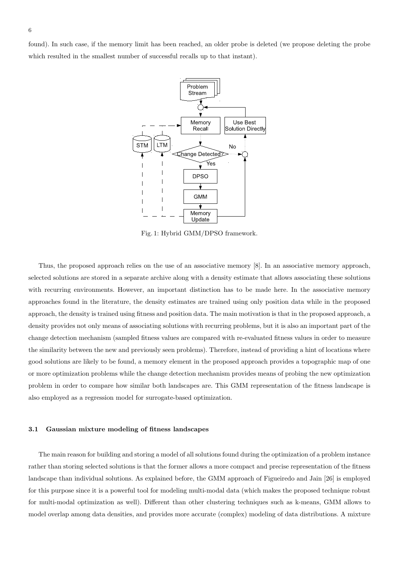found). In such case, if the memory limit has been reached, an older probe is deleted (we propose deleting the probe which resulted in the smallest number of successful recalls up to that instant).



Fig. 1: Hybrid GMM/DPSO framework.

Thus, the proposed approach relies on the use of an associative memory [8]. In an associative memory approach, selected solutions are stored in a separate archive along with a density estimate that allows associating these solutions with recurring environments. However, an important distinction has to be made here. In the associative memory approaches found in the literature, the density estimates are trained using only position data while in the proposed approach, the density is trained using fitness and position data. The main motivation is that in the proposed approach, a density provides not only means of associating solutions with recurring problems, but it is also an important part of the change detection mechanism (sampled fitness values are compared with re-evaluated fitness values in order to measure the similarity between the new and previously seen problems). Therefore, instead of providing a hint of locations where good solutions are likely to be found, a memory element in the proposed approach provides a topographic map of one or more optimization problems while the change detection mechanism provides means of probing the new optimization problem in order to compare how similar both landscapes are. This GMM representation of the fitness landscape is also employed as a regression model for surrogate-based optimization.

#### 3.1 Gaussian mixture modeling of fitness landscapes

The main reason for building and storing a model of all solutions found during the optimization of a problem instance rather than storing selected solutions is that the former allows a more compact and precise representation of the fitness landscape than individual solutions. As explained before, the GMM approach of Figueiredo and Jain [26] is employed for this purpose since it is a powerful tool for modeling multi-modal data (which makes the proposed technique robust for multi-modal optimization as well). Different than other clustering techniques such as k-means, GMM allows to model overlap among data densities, and provides more accurate (complex) modeling of data distributions. A mixture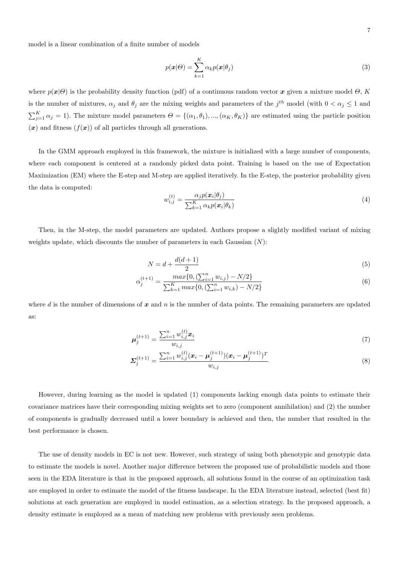$$
p(\boldsymbol{x}|\boldsymbol{\Theta}) = \sum_{k=1}^{K} \alpha_k p(\boldsymbol{x}|\boldsymbol{\theta}_j)
$$
\n(3)

where  $p(x|\Theta)$  is the probability density function (pdf) of a continuous random vector x given a mixture model  $\Theta$ , K is the number of mixtures,  $\alpha_j$  and  $\theta_j$  are the mixing weights and parameters of the  $j^{th}$  model (with  $0 < \alpha_j \le 1$  and  $\sum_{j=1}^{K} \alpha_j = 1$ ). The mixture model parameters  $\Theta = \{(\alpha_1, \theta_1), ..., (\alpha_K, \theta_K)\}\$ are estimated using the particle position  $(x)$  and fitness  $(f(x))$  of all particles through all generations.

In the GMM approach employed in this framework, the mixture is initialized with a large number of components, where each component is centered at a randomly picked data point. Training is based on the use of Expectation Maximization (EM) where the E-step and M-step are applied iteratively. In the E-step, the posterior probability given the data is computed:

$$
w_{i,j}^{(t)} = \frac{\alpha_j p(\boldsymbol{x}_i | \theta_j)}{\sum_{k=1}^K \alpha_k p(\boldsymbol{x}_i | \theta_k)}
$$
(4)

Then, in the M-step, the model parameters are updated. Authors propose a slightly modified variant of mixing weights update, which discounts the number of parameters in each Gaussian  $(N)$ :

$$
N = d + \frac{d(d+1)}{2} \tag{5}
$$

$$
\alpha_j^{(t+1)} = \frac{\max\{0, (\sum_{i=1}^n w_{i,j}) - N/2\}}{\sum_{k=1}^K \max\{0, (\sum_{i=1}^n w_{i,k}) - N/2\}}
$$
(6)

where d is the number of dimensions of x and n is the number of data points. The remaining parameters are updated as:

$$
\mu_j^{(t+1)} = \frac{\sum_{i=1}^n w_{i,j}^{(t)} x_i}{w_{i,j}}
$$
(7)

$$
\Sigma_j^{(t+1)} = \frac{\sum_{i=1}^n w_{i,j}^{(t)} (\boldsymbol{x}_i - \boldsymbol{\mu}_j^{(t+1)}) (\boldsymbol{x}_i - \boldsymbol{\mu}_j^{(t+1)})^T}{w_{i,j}}
$$
(8)

However, during learning as the model is updated (1) components lacking enough data points to estimate their covariance matrices have their corresponding mixing weights set to zero (component annihilation) and (2) the number of components is gradually decreased until a lower boundary is achieved and then, the number that resulted in the best performance is chosen.

The use of density models in EC is not new. However, such strategy of using both phenotypic and genotypic data to estimate the models is novel. Another major difference between the proposed use of probabilistic models and those seen in the EDA literature is that in the proposed approach, all solutions found in the course of an optimization task are employed in order to estimate the model of the fitness landscape. In the EDA literature instead, selected (best fit) solutions at each generation are employed in model estimation, as a selection strategy. In the proposed approach, a density estimate is employed as a mean of matching new problems with previously seen problems.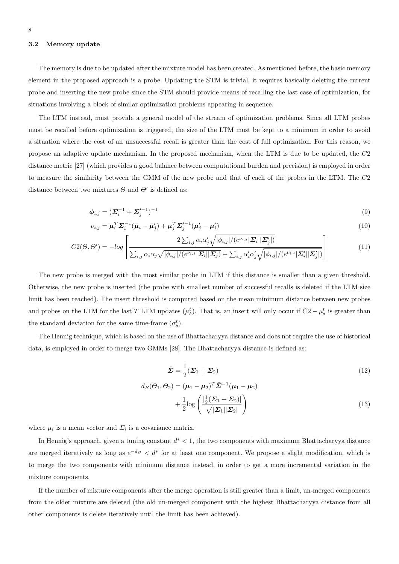#### 3.2 Memory update

The memory is due to be updated after the mixture model has been created. As mentioned before, the basic memory element in the proposed approach is a probe. Updating the STM is trivial, it requires basically deleting the current probe and inserting the new probe since the STM should provide means of recalling the last case of optimization, for situations involving a block of similar optimization problems appearing in sequence.

The LTM instead, must provide a general model of the stream of optimization problems. Since all LTM probes must be recalled before optimization is triggered, the size of the LTM must be kept to a minimum in order to avoid a situation where the cost of an unsuccessful recall is greater than the cost of full optimization. For this reason, we propose an adaptive update mechanism. In the proposed mechanism, when the LTM is due to be updated, the C2 distance metric [27] (which provides a good balance between computational burden and precision) is employed in order to measure the similarity between the GMM of the new probe and that of each of the probes in the LTM. The C2 distance between two mixtures  $\Theta$  and  $\Theta'$  is defined as:

$$
\phi_{i,j} = (\Sigma_i^{-1} + \Sigma_j'^{-1})^{-1} \tag{9}
$$

$$
\nu_{i,j} = \mu_i^T \Sigma_i^{-1} (\mu_i - \mu'_j) + \mu_j^T \Sigma_j'^{-1} (\mu'_j - \mu'_i)
$$
\n(10)

$$
C2(\Theta, \Theta') = -log\left[\frac{2\sum_{i,j}\alpha_i\alpha'_j\sqrt{|\phi_{i,j}|/(e^{\nu_{i,j}}|\boldsymbol{\Sigma}_i||\boldsymbol{\Sigma}_j')}}{\sum_{i,j}\alpha_i\alpha_j\sqrt{|\phi_{i,j}|/(e^{\nu_{i,j}}|\boldsymbol{\Sigma}_i||\boldsymbol{\Sigma}_j)} + \sum_{i,j}\alpha'_i\alpha'_j\sqrt{|\phi_{i,j}|/(e^{\nu_{i,j}}|\boldsymbol{\Sigma}_i'||\boldsymbol{\Sigma}_j')}}\right]
$$
(11)

The new probe is merged with the most similar probe in LTM if this distance is smaller than a given threshold. Otherwise, the new probe is inserted (the probe with smallest number of successful recalls is deleted if the LTM size limit has been reached). The insert threshold is computed based on the mean minimum distance between new probes and probes on the LTM for the last T LTM updates  $(\mu_{\delta}^t)$ . That is, an insert will only occur if  $C2 - \mu_{\delta}^t$  is greater than the standard deviation for the same time-frame  $(\sigma_{\delta}^t)$ .

The Hennig technique, which is based on the use of Bhattacharyya distance and does not require the use of historical data, is employed in order to merge two GMMs [28]. The Bhattacharyya distance is defined as:

$$
\bar{\Sigma} = \frac{1}{2} (\Sigma_1 + \Sigma_2) \tag{12}
$$

$$
d_B(\Theta_1, \Theta_2) = (\boldsymbol{\mu}_1 - \boldsymbol{\mu}_2)^T \bar{\boldsymbol{\Sigma}}^{-1} (\boldsymbol{\mu}_1 - \boldsymbol{\mu}_2)
$$
  
+ 
$$
\frac{1}{2} \log \left( \frac{\left| \frac{1}{2} (\boldsymbol{\Sigma}_1 + \boldsymbol{\Sigma}_2) \right|}{\sqrt{|\boldsymbol{\Sigma}_1||\boldsymbol{\Sigma}_2|}} \right)
$$
(13)

where  $\mu_i$  is a mean vector and  $\Sigma_i$  is a covariance matrix.

In Hennig's approach, given a tuning constant  $d^* < 1$ , the two components with maximum Bhattacharyya distance are merged iteratively as long as  $e^{-d_B} < d^*$  for at least one component. We propose a slight modification, which is to merge the two components with minimum distance instead, in order to get a more incremental variation in the mixture components.

If the number of mixture components after the merge operation is still greater than a limit, un-merged components from the older mixture are deleted (the old un-merged component with the highest Bhattacharyya distance from all other components is delete iteratively until the limit has been achieved).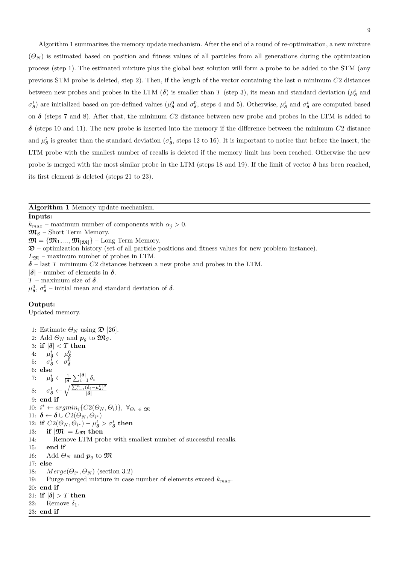Algorithm 1 summarizes the memory update mechanism. After the end of a round of re-optimization, a new mixture  $(\Theta_N)$  is estimated based on position and fitness values of all particles from all generations during the optimization process (step 1). The estimated mixture plus the global best solution will form a probe to be added to the STM (any previous STM probe is deleted, step 2). Then, if the length of the vector containing the last  $n$  minimum  $C2$  distances between new probes and probes in the LTM  $(\delta)$  is smaller than T (step 3), its mean and standard deviation  $(\mu_{\delta}^t$  and  $\sigma_{\delta}^{t}$  are initialized based on pre-defined values ( $\mu_{\delta}^{0}$  and  $\sigma_{\delta}^{0}$ , steps 4 and 5). Otherwise,  $\mu_{\delta}^{t}$  and  $\sigma_{\delta}^{t}$  are computed based on  $\delta$  (steps 7 and 8). After that, the minimum C2 distance between new probe and probes in the LTM is added to  $\delta$  (steps 10 and 11). The new probe is inserted into the memory if the difference between the minimum C2 distance and  $\mu_{\delta}^{t}$  is greater than the standard deviation  $(\sigma_{\delta}^{t},$  steps 12 to 16). It is important to notice that before the insert, the LTM probe with the smallest number of recalls is deleted if the memory limit has been reached. Otherwise the new probe is merged with the most similar probe in the LTM (steps 18 and 19). If the limit of vector  $\delta$  has been reached, its first element is deleted (steps 21 to 23).

#### Algorithm 1 Memory update mechanism.

Inputs:

 $k_{max}$  – maximum number of components with  $\alpha_j > 0$ .

 $\mathfrak{M}_S$  – Short Term Memory.  $\mathfrak{M} = {\mathfrak{M}_1, ..., \mathfrak{M}_{|\mathfrak{M}|}} - \text{Long Term Memory}.$  $\mathfrak{D}$  – optimization history (set of all particle positions and fitness values for new problem instance).  $L_{\mathfrak{M}}$  – maximum number of probes in LTM.  $\delta$  – last T minimum C2 distances between a new probe and probes in the LTM.  $|\delta|$  – number of elements in  $\delta$ . T – maximum size of  $\delta$ .  $\mu_{\delta}^0$ ,  $\sigma_{\delta}^0$  – initial mean and standard deviation of  $\delta$ .

## Output:

Updated memory.

1: Estimate  $\Theta_N$  using  $\mathfrak{D}$  [26]. 2: Add  $\Theta_N$  and  $p_q$  to  $\mathfrak{M}_S$ . 3: if  $|\delta|$  < T then 4:  $\mu_{\delta}^{t} \leftarrow \mu_{\delta}^{0}$ <br>5:  $\sigma_{\delta}^{t} \leftarrow \sigma_{\delta}^{0}$ 5: σ 6: else 7:  $\mu_{\boldsymbol{\delta}}^{t} \leftarrow \frac{1}{|\boldsymbol{\delta}|} \sum_{i=1}^{|\boldsymbol{\delta}|} \delta_{i}$  $8\colon\quad \sigma^t_{\bm{\delta}} \leftarrow \sqrt{\frac{\sum_{i=1}^n(\delta_i - \mu^t_{\bm{\delta}})^2}{|\bm{\delta}|}}$  $|\delta|$ 9: end if 10:  $i^* \leftarrow argmin_i \{C2(\Theta_N, \Theta_i)\}, \ \forall_{\Theta_i \in \mathfrak{M}}$ 11:  $\boldsymbol{\delta} \leftarrow \boldsymbol{\delta} \cup C2(\Theta_N, \Theta_{i^*})$ 12: if  $C2(\Theta_N, \Theta_{i^*}) - \mu_{\delta}^t > \sigma_{\delta}^t$  then 13: if  $|\mathfrak{M}| = L_{\mathfrak{M}}$  then 14: Remove LTM probe with smallest number of successful recalls. 15: end if 16: Add  $\Theta_N$  and  $p_g$  to  $\mathfrak{M}$ 17: else 18:  $Merge(\Theta_{i^*}, \Theta_N)$  (section 3.2) 19: Purge merged mixture in case number of elements exceed  $k_{max}$ . 20: end if 21: if  $|\delta| > T$  then 22: Remove  $\delta_1$ . 23: end if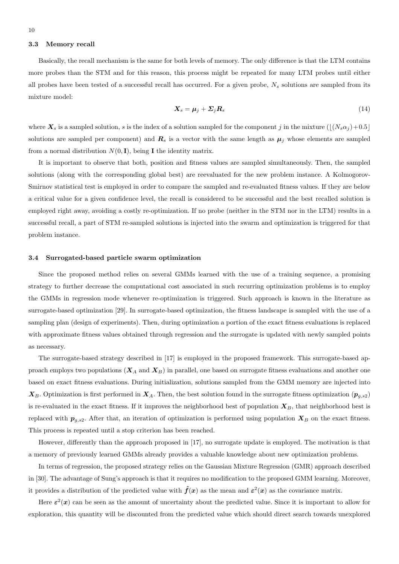#### 3.3 Memory recall

Basically, the recall mechanism is the same for both levels of memory. The only difference is that the LTM contains more probes than the STM and for this reason, this process might be repeated for many LTM probes until either all probes have been tested of a successful recall has occurred. For a given probe,  $N_s$  solutions are sampled from its mixture model:

$$
X_s = \mu_j + \Sigma_j R_s \tag{14}
$$

where  $\mathbf{X}_s$  is a sampled solution, s is the index of a solution sampled for the component j in the mixture  $(\lfloor (N_s\alpha_j)+0.5\rfloor)$ solutions are sampled per component) and  $R_s$  is a vector with the same length as  $\mu_j$  whose elements are sampled from a normal distribution  $N(0, I)$ , being I the identity matrix.

It is important to observe that both, position and fitness values are sampled simultaneously. Then, the sampled solutions (along with the corresponding global best) are reevaluated for the new problem instance. A Kolmogorov-Smirnov statistical test is employed in order to compare the sampled and re-evaluated fitness values. If they are below a critical value for a given confidence level, the recall is considered to be successful and the best recalled solution is employed right away, avoiding a costly re-optimization. If no probe (neither in the STM nor in the LTM) results in a successful recall, a part of STM re-sampled solutions is injected into the swarm and optimization is triggered for that problem instance.

#### 3.4 Surrogated-based particle swarm optimization

Since the proposed method relies on several GMMs learned with the use of a training sequence, a promising strategy to further decrease the computational cost associated in such recurring optimization problems is to employ the GMMs in regression mode whenever re-optimization is triggered. Such approach is known in the literature as surrogate-based optimization [29]. In surrogate-based optimization, the fitness landscape is sampled with the use of a sampling plan (design of experiments). Then, during optimization a portion of the exact fitness evaluations is replaced with approximate fitness values obtained through regression and the surrogate is updated with newly sampled points as necessary.

The surrogate-based strategy described in [17] is employed in the proposed framework. This surrogate-based approach employs two populations  $(X_A \text{ and } X_B)$  in parallel, one based on surrogate fitness evaluations and another one based on exact fitness evaluations. During initialization, solutions sampled from the GMM memory are injected into  $X_B$ . Optimization is first performed in  $X_A$ . Then, the best solution found in the surrogate fitness optimization  $(p_{g,s2})$ is re-evaluated in the exact fitness. If it improves the neighborhood best of population  $X_B$ , that neighborhood best is replaced with  $p_{g,s2}$ . After that, an iteration of optimization is performed using population  $X_B$  on the exact fitness. This process is repeated until a stop criterion has been reached.

However, differently than the approach proposed in [17], no surrogate update is employed. The motivation is that a memory of previously learned GMMs already provides a valuable knowledge about new optimization problems.

In terms of regression, the proposed strategy relies on the Gaussian Mixture Regression (GMR) approach described in [30]. The advantage of Sung's approach is that it requires no modification to the proposed GMM learning. Moreover, it provides a distribution of the predicted value with  $\hat{f}(x)$  as the mean and  $\varepsilon^2(x)$  as the covariance matrix.

Here  $\varepsilon^2(x)$  can be seen as the amount of uncertainty about the predicted value. Since it is important to allow for exploration, this quantity will be discounted from the predicted value which should direct search towards unexplored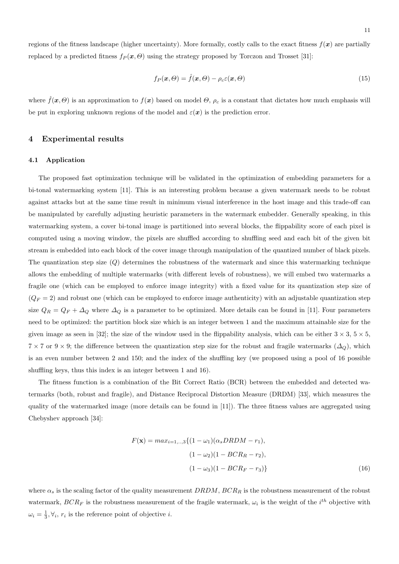11

regions of the fitness landscape (higher uncertainty). More formally, costly calls to the exact fitness  $f(x)$  are partially replaced by a predicted fitness  $f_P(x, \Theta)$  using the strategy proposed by Torczon and Trosset [31]:

$$
f_P(\mathbf{x}, \Theta) = \hat{f}(\mathbf{x}, \Theta) - \rho_c \varepsilon(\mathbf{x}, \Theta) \tag{15}
$$

where  $\hat{f}(\bm{x}, \Theta)$  is an approximation to  $f(\bm{x})$  based on model  $\Theta$ ,  $\rho_c$  is a constant that dictates how much emphasis will be put in exploring unknown regions of the model and  $\varepsilon(x)$  is the prediction error.

## 4 Experimental results

## 4.1 Application

The proposed fast optimization technique will be validated in the optimization of embedding parameters for a bi-tonal watermarking system [11]. This is an interesting problem because a given watermark needs to be robust against attacks but at the same time result in minimum visual interference in the host image and this trade-off can be manipulated by carefully adjusting heuristic parameters in the watermark embedder. Generally speaking, in this watermarking system, a cover bi-tonal image is partitioned into several blocks, the flippability score of each pixel is computed using a moving window, the pixels are shuffled according to shuffling seed and each bit of the given bit stream is embedded into each block of the cover image through manipulation of the quantized number of black pixels. The quantization step size (Q) determines the robustness of the watermark and since this watermarking technique allows the embedding of multiple watermarks (with different levels of robustness), we will embed two watermarks a fragile one (which can be employed to enforce image integrity) with a fixed value for its quantization step size of  $(Q_F = 2)$  and robust one (which can be employed to enforce image authenticity) with an adjustable quantization step size  $Q_R = Q_F + \Delta_Q$  where  $\Delta_Q$  is a parameter to be optimized. More details can be found in [11]. Four parameters need to be optimized: the partition block size which is an integer between 1 and the maximum attainable size for the given image as seen in [32]; the size of the window used in the flippability analysis, which can be either  $3 \times 3$ ,  $5 \times 5$ ,  $7 \times 7$  or  $9 \times 9$ ; the difference between the quantization step size for the robust and fragile watermarks  $(\Delta_Q)$ , which is an even number between 2 and 150; and the index of the shuffling key (we proposed using a pool of 16 possible shuffling keys, thus this index is an integer between 1 and 16).

The fitness function is a combination of the Bit Correct Ratio (BCR) between the embedded and detected watermarks (both, robust and fragile), and Distance Reciprocal Distortion Measure (DRDM) [33], which measures the quality of the watermarked image (more details can be found in [11]). The three fitness values are aggregated using Chebyshev approach [34]:

$$
F(\mathbf{x}) = max_{i=1,\dots,3} \{ (1 - \omega_1)(\alpha_s DRDM - r_1),
$$
  

$$
(1 - \omega_2)(1 - BCR_R - r_2),
$$
  

$$
(1 - \omega_3)(1 - BCR_F - r_3) \}
$$
 (16)

where  $\alpha_s$  is the scaling factor of the quality measurement DRDM,  $BCR_R$  is the robustness measurement of the robust watermark,  $BCR_F$  is the robustness measurement of the fragile watermark,  $\omega_i$  is the weight of the i<sup>th</sup> objective with  $\omega_i = \frac{1}{3}, \forall_i, r_i$  is the reference point of objective *i*.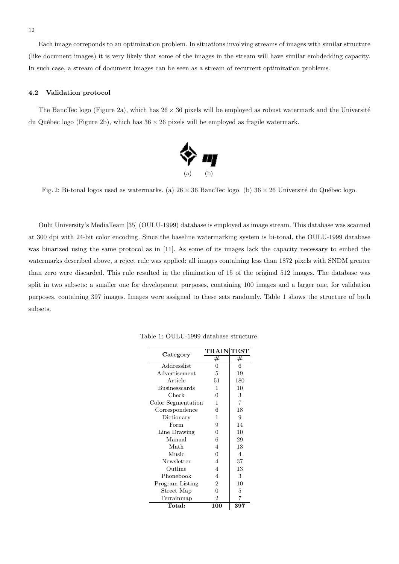Each image correponds to an optimization problem. In situations involving streams of images with similar structure (like document images) it is very likely that some of the images in the stream will have similar embdedding capacity. In such case, a stream of document images can be seen as a stream of recurrent optimization problems.

## 4.2 Validation protocol

The BancTec logo (Figure 2a), which has  $26 \times 36$  pixels will be employed as robust watermark and the Université du Québec logo (Figure 2b), which has  $36 \times 26$  pixels will be employed as fragile watermark.



Fig. 2: Bi-tonal logos used as watermarks. (a)  $26 \times 36$  BancTec logo. (b)  $36 \times 26$  Université du Québec logo.

Oulu University's MediaTeam [35] (OULU-1999) database is employed as image stream. This database was scanned at 300 dpi with 24-bit color encoding. Since the baseline watermarking system is bi-tonal, the OULU-1999 database was binarized using the same protocol as in [11]. As some of its images lack the capacity necessary to embed the watermarks described above, a reject rule was applied: all images containing less than 1872 pixels with SNDM greater than zero were discarded. This rule resulted in the elimination of 15 of the original 512 images. The database was split in two subsets: a smaller one for development purposes, containing 100 images and a larger one, for validation purposes, containing 397 images. Images were assigned to these sets randomly. Table 1 shows the structure of both subsets.

| Category             | $\operatorname{TRAIN}{} $ | $\tt TEST$     |  |
|----------------------|---------------------------|----------------|--|
|                      | #                         | #              |  |
| Addresslist          | 0                         | 6              |  |
| Advertisement        | 5                         | 19             |  |
| Article              | 51                        | 180            |  |
| <b>Businesscards</b> | 1                         | 10             |  |
| Check                | 0                         | 3              |  |
| Color Segmentation   | 1                         | $\overline{7}$ |  |
| Correspondence       | 6                         | 18             |  |
| Dictionary           | 1                         | 9              |  |
| Form                 | 9                         | 14             |  |
| Line Drawing         | 0                         | 10             |  |
| Manual               | 6                         | 29             |  |
| Math                 | $\overline{4}$            | 13             |  |
| Music                | 0                         | $\overline{4}$ |  |
| Newsletter           | $\overline{4}$            | 37             |  |
| Outline              | $\overline{4}$            | 13             |  |
| Phonebook            | $\overline{4}$            | 3              |  |
| Program Listing      | $\overline{2}$            | 10             |  |
| Street Map           | $\Omega$                  | 5              |  |
| Terrainmap           | $\overline{2}$            | 7              |  |
| Total:               | 100                       | 397            |  |

Table 1: OULU-1999 database structure.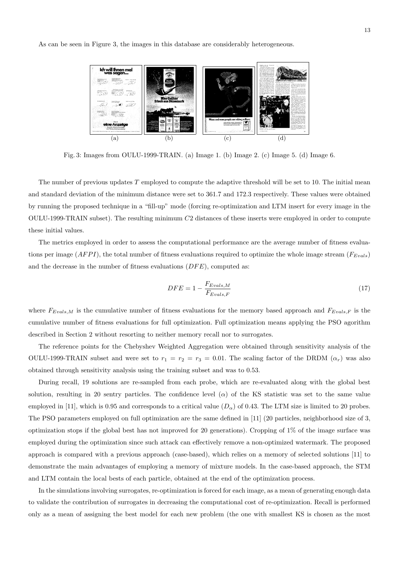As can be seen in Figure 3, the images in this database are considerably heterogeneous.



Fig. 3: Images from OULU-1999-TRAIN. (a) Image 1. (b) Image 2. (c) Image 5. (d) Image 6.

The number of previous updates  $T$  employed to compute the adaptive threshold will be set to 10. The initial mean and standard deviation of the minimum distance were set to 361.7 and 172.3 respectively. These values were obtained by running the proposed technique in a "fill-up" mode (forcing re-optimization and LTM insert for every image in the OULU-1999-TRAIN subset). The resulting minimum C2 distances of these inserts were employed in order to compute these initial values.

The metrics employed in order to assess the computational performance are the average number of fitness evaluations per image  $(AFPI)$ , the total number of fitness evaluations required to optimize the whole image stream  $(F_{Evals})$ and the decrease in the number of fitness evaluations  $(DFE)$ , computed as:

$$
DFE = 1 - \frac{F_{Evals,M}}{F_{Evals,F}}
$$
\n<sup>(17)</sup>

where  $F_{Evals,M}$  is the cumulative number of fitness evaluations for the memory based approach and  $F_{Evals,F}$  is the cumulative number of fitness evaluations for full optimization. Full optimization means applying the PSO agorithm described in Section 2 without resorting to neither memory recall nor to surrogates.

The reference points for the Chebyshev Weighted Aggregation were obtained through sensitivity analysis of the OULU-1999-TRAIN subset and were set to  $r_1 = r_2 = r_3 = 0.01$ . The scaling factor of the DRDM  $(\alpha_r)$  was also obtained through sensitivity analysis using the training subset and was to 0.53.

During recall, 19 solutions are re-sampled from each probe, which are re-evaluated along with the global best solution, resulting in 20 sentry particles. The confidence level  $(\alpha)$  of the KS statistic was set to the same value employed in [11], which is 0.95 and corresponds to a critical value  $(D_{\alpha})$  of 0.43. The LTM size is limited to 20 probes. The PSO parameters employed on full optimization are the same defined in [11] (20 particles, neighborhood size of 3, optimization stops if the global best has not improved for 20 generations). Cropping of 1% of the image surface was employed during the optimization since such attack can effectively remove a non-optimized watermark. The proposed approach is compared with a previous approach (case-based), which relies on a memory of selected solutions [11] to demonstrate the main advantages of employing a memory of mixture models. In the case-based approach, the STM and LTM contain the local bests of each particle, obtained at the end of the optimization process.

In the simulations involving surrogates, re-optimization is forced for each image, as a mean of generating enough data to validate the contribution of surrogates in decreasing the computational cost of re-optimization. Recall is performed only as a mean of assigning the best model for each new problem (the one with smallest KS is chosen as the most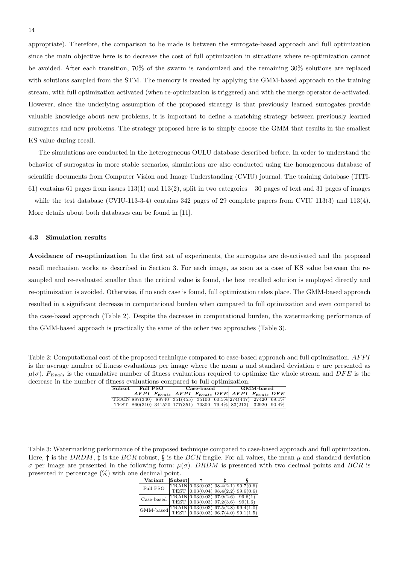appropriate). Therefore, the comparison to be made is between the surrogate-based approach and full optimization since the main objective here is to decrease the cost of full optimization in situations where re-optimization cannot be avoided. After each transition, 70% of the swarm is randomized and the remaining 30% solutions are replaced with solutions sampled from the STM. The memory is created by applying the GMM-based approach to the training stream, with full optimization activated (when re-optimization is triggered) and with the merge operator de-activated. However, since the underlying assumption of the proposed strategy is that previously learned surrogates provide valuable knowledge about new problems, it is important to define a matching strategy between previously learned surrogates and new problems. The strategy proposed here is to simply choose the GMM that results in the smallest KS value during recall.

The simulations are conducted in the heterogeneous OULU database described before. In order to understand the behavior of surrogates in more stable scenarios, simulations are also conducted using the homogeneous database of scientific documents from Computer Vision and Image Understanding (CVIU) journal. The training database (TITI-61) contains 61 pages from issues  $113(1)$  and  $113(2)$ , split in two categories – 30 pages of text and 31 pages of images – while the test database (CVIU-113-3-4) contains 342 pages of 29 complete papers from CVIU 113(3) and 113(4). More details about both databases can be found in [11].

#### 4.3 Simulation results

Avoidance of re-optimization In the first set of experiments, the surrogates are de-activated and the proposed recall mechanism works as described in Section 3. For each image, as soon as a case of KS value between the resampled and re-evaluated smaller than the critical value is found, the best recalled solution is employed directly and re-optimization is avoided. Otherwise, if no such case is found, full optimization takes place. The GMM-based approach resulted in a significant decrease in computational burden when compared to full optimization and even compared to the case-based approach (Table 2). Despite the decrease in computational burden, the watermarking performance of the GMM-based approach is practically the same of the other two approaches (Table 3).

Table 2: Computational cost of the proposed technique compared to case-based approach and full optimization. AFPI is the average number of fitness evaluations per image where the mean  $\mu$  and standard deviation  $\sigma$  are presented as  $\mu(\sigma)$ .  $F_{Evals}$  is the cumulative number of fitness evaluations required to optimize the whole stream and DFE is the decrease in the number of fitness evaluations compared to full optimization.

| Subset | Full PSO | Case-based                                                     |  |  | GMM-based |  |  |
|--------|----------|----------------------------------------------------------------|--|--|-----------|--|--|
|        |          | AFPI $F_{Evals}$ AFPI $F_{Evals}$ DFE AFPI $F_{Evals}$ DFE     |  |  |           |  |  |
|        |          | TRAIN 887(340) 88740 351(455) 35100 60.5% 274(447) 27420 69.1% |  |  |           |  |  |
|        |          | TEST 860(310) 341520 177(351) 70300 79.4% 83(213) 32920 90.4%  |  |  |           |  |  |

Table 3: Watermarking performance of the proposed technique compared to case-based approach and full optimization. Here,  $\dagger$  is the DRDM,  $\dagger$  is the BCR robust, § is the BCR fragile. For all values, the mean  $\mu$  and standard deviation σ per image are presented in the following form:  $\mu(\sigma)$ . DRDM is presented with two decimal points and BCR is presented in percentage (%) with one decimal point.

| Variant             | Subset <sup> </sup> |                                          |  |
|---------------------|---------------------|------------------------------------------|--|
| Full PSO            |                     | $TRAIN   0.03(0.03) 98.4(2.1) 99.7(0.6)$ |  |
|                     |                     | TEST $(0.03(0.04) 98.4(2.2) 99.6(0.6)$   |  |
| $\text{Case-based}$ |                     | TRAIN   0.03(0.03) 97.9(2.6) 99.6(1)     |  |
|                     |                     | TEST $(0.03(0.03) 97.2(3.6) 99(1.6)$     |  |
| GMM-based           |                     | $TRAIN   0.03(0.03) 97.5(2.8) 99.4(1.0)$ |  |
|                     |                     | TEST $ 0.03(0.03) 96.7(4.0) 99.1(1.5)$   |  |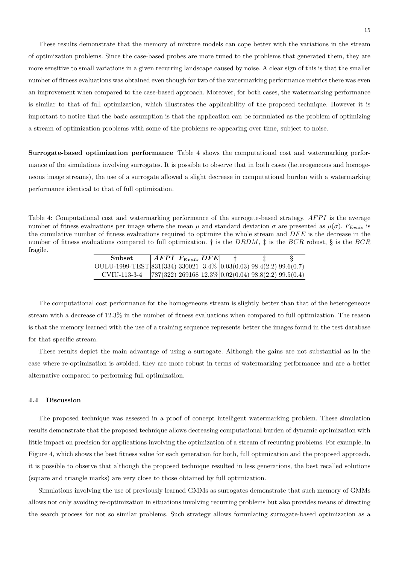These results demonstrate that the memory of mixture models can cope better with the variations in the stream of optimization problems. Since the case-based probes are more tuned to the problems that generated them, they are more sensitive to small variations in a given recurring landscape caused by noise. A clear sign of this is that the smaller number of fitness evaluations was obtained even though for two of the watermarking performance metrics there was even an improvement when compared to the case-based approach. Moreover, for both cases, the watermarking performance is similar to that of full optimization, which illustrates the applicability of the proposed technique. However it is important to notice that the basic assumption is that the application can be formulated as the problem of optimizing a stream of optimization problems with some of the problems re-appearing over time, subject to noise.

Surrogate-based optimization performance Table 4 shows the computational cost and watermarking performance of the simulations involving surrogates. It is possible to observe that in both cases (heterogeneous and homogeneous image streams), the use of a surrogate allowed a slight decrease in computational burden with a watermarking performance identical to that of full optimization.

Table 4: Computational cost and watermarking performance of the surrogate-based strategy. AFPI is the average number of fitness evaluations per image where the mean  $\mu$  and standard deviation  $\sigma$  are presented as  $\mu(\sigma)$ .  $F_{Evals}$  is the cumulative number of fitness evaluations required to optimize the whole stream and  $DFE$  is the decrease in the number of fitness evaluations compared to full optimization. † is the DRDM,  $\ddagger$  is the BCR robust,  $\S$  is the BCR fragile.

| <b>Subset</b>                                                                                     | $AFPI$ $F_{Evals}$ $DFE$ |  |  |  |
|---------------------------------------------------------------------------------------------------|--------------------------|--|--|--|
| $\overline{\text{OULU-1999-TEST}\mid 831(334)}$ 330021 3.4% $\mid 0.03(0.03)$ 98.4(2.2) 99.6(0.7) |                          |  |  |  |
| CVIU-113-3-4   $787(322)$ 269168 12.3% $ 0.02(0.04)$ 98.8(2.2) 99.5(0.4)                          |                          |  |  |  |

The computational cost performance for the homogeneous stream is slightly better than that of the heterogeneous stream with a decrease of 12.3% in the number of fitness evaluations when compared to full optimization. The reason is that the memory learned with the use of a training sequence represents better the images found in the test database for that specific stream.

These results depict the main advantage of using a surrogate. Although the gains are not substantial as in the case where re-optimization is avoided, they are more robust in terms of watermarking performance and are a better alternative compared to performing full optimization.

#### 4.4 Discussion

The proposed technique was assessed in a proof of concept intelligent watermarking problem. These simulation results demonstrate that the proposed technique allows decreasing computational burden of dynamic optimization with little impact on precision for applications involving the optimization of a stream of recurring problems. For example, in Figure 4, which shows the best fitness value for each generation for both, full optimization and the proposed approach, it is possible to observe that although the proposed technique resulted in less generations, the best recalled solutions (square and triangle marks) are very close to those obtained by full optimization.

Simulations involving the use of previously learned GMMs as surrogates demonstrate that such memory of GMMs allows not only avoiding re-optimization in situations involving recurring problems but also provides means of directing the search process for not so similar problems. Such strategy allows formulating surrogate-based optimization as a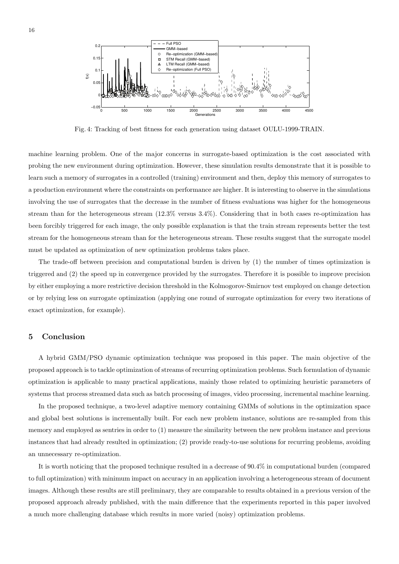

Fig. 4: Tracking of best fitness for each generation using dataset OULU-1999-TRAIN.

machine learning problem. One of the major concerns in surrogate-based optimization is the cost associated with probing the new environment during optimization. However, these simulation results demonstrate that it is possible to learn such a memory of surrogates in a controlled (training) environment and then, deploy this memory of surrogates to a production environment where the constraints on performance are higher. It is interesting to observe in the simulations involving the use of surrogates that the decrease in the number of fitness evaluations was higher for the homogeneous stream than for the heterogeneous stream (12.3% versus 3.4%). Considering that in both cases re-optimization has been forcibly triggered for each image, the only possible explanation is that the train stream represents better the test stream for the homogeneous stream than for the heterogeneous stream. These results suggest that the surrogate model must be updated as optimization of new optimization problems takes place.

The trade-off between precision and computational burden is driven by (1) the number of times optimization is triggered and (2) the speed up in convergence provided by the surrogates. Therefore it is possible to improve precision by either employing a more restrictive decision threshold in the Kolmogorov-Smirnov test employed on change detection or by relying less on surrogate optimization (applying one round of surrogate optimization for every two iterations of exact optimization, for example).

## 5 Conclusion

A hybrid GMM/PSO dynamic optimization technique was proposed in this paper. The main objective of the proposed approach is to tackle optimization of streams of recurring optimization problems. Such formulation of dynamic optimization is applicable to many practical applications, mainly those related to optimizing heuristic parameters of systems that process streamed data such as batch processing of images, video processing, incremental machine learning.

In the proposed technique, a two-level adaptive memory containing GMMs of solutions in the optimization space and global best solutions is incrementally built. For each new problem instance, solutions are re-sampled from this memory and employed as sentries in order to (1) measure the similarity between the new problem instance and previous instances that had already resulted in optimization; (2) provide ready-to-use solutions for recurring problems, avoiding an unnecessary re-optimization.

It is worth noticing that the proposed technique resulted in a decrease of 90.4% in computational burden (compared to full optimization) with minimum impact on accuracy in an application involving a heterogeneous stream of document images. Although these results are still preliminary, they are comparable to results obtained in a previous version of the proposed approach already published, with the main difference that the experiments reported in this paper involved a much more challenging database which results in more varied (noisy) optimization problems.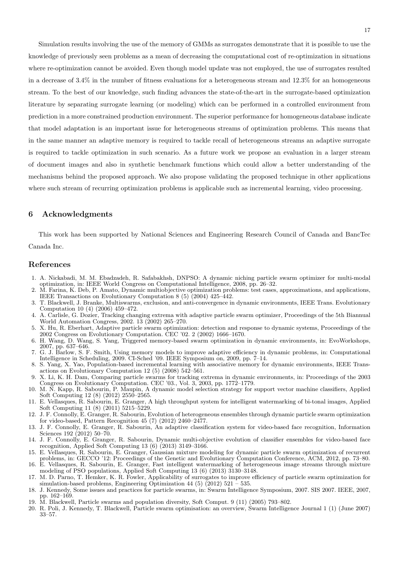Simulation results involving the use of the memory of GMMs as surrogates demonstrate that it is possible to use the knowledge of previously seen problems as a mean of decreasing the computational cost of re-optimization in situations where re-optimization cannot be avoided. Even though model update was not employed, the use of surrogates resulted in a decrease of 3.4% in the number of fitness evaluations for a heterogeneous stream and 12.3% for an homogeneous stream. To the best of our knowledge, such finding advances the state-of-the-art in the surrogate-based optimization literature by separating surrogate learning (or modeling) which can be performed in a controlled environment from prediction in a more constrained production environment. The superior performance for homogeneous database indicate that model adaptation is an important issue for heterogeneous streams of optimization problems. This means that in the same manner an adaptive memory is required to tackle recall of heterogeneous streams an adaptive surrogate is required to tackle optimization in such scenario. As a future work we propose an evaluation in a larger stream of document images and also in synthetic benchmark functions which could allow a better understanding of the mechanisms behind the proposed approach. We also propose validating the proposed technique in other applications where such stream of recurring optimization problems is applicable such as incremental learning, video processing.

## 6 Acknowledgments

This work has been supported by National Sciences and Engineering Research Council of Canada and BancTec Canada Inc.

#### References

- 1. A. Nickabadi, M. M. Ebadzadeh, R. Safabakhsh, DNPSO: A dynamic niching particle swarm optimizer for multi-modal optimization, in: IEEE World Congress on Computational Intelligence, 2008, pp. 26–32.
- 2. M. Farina, K. Deb, P. Amato, Dynamic multiobjective optimization problems: test cases, approximations, and applications, IEEE Transactions on Evolutionary Computation 8 (5) (2004) 425–442.
- 3. T. Blackwell, J. Branke, Multiswarms, exclusion, and anti-convergence in dynamic environments, IEEE Trans. Evolutionary Computation 10 (4) (2006) 459–472.
- 4. A. Carlisle, G. Dozier, Tracking changing extrema with adaptive particle swarm optimizer, Proceedings of the 5th Biannual World Automation Congress, 2002. 13 (2002) 265–270.
- 5. X. Hu, R. Eberhart, Adaptive particle swarm optimization: detection and response to dynamic systems, Proceedings of the 2002 Congress on Evolutionary Computation. CEC '02. 2 (2002) 1666–1670.
- 6. H. Wang, D. Wang, S. Yang, Triggered memory-based swarm optimization in dynamic environments, in: EvoWorkshops, 2007, pp. 637–646.
- 7. G. J. Barlow, S. F. Smith, Using memory models to improve adaptive efficiency in dynamic problems, in: Computational Intelligence in Scheduling, 2009. CI-Sched '09. IEEE Symposium on, 2009, pp. 7–14.
- 8. S. Yang, X. Yao, Population-based incremental learning with associative memory for dynamic environments, IEEE Transactions on Evolutionary Computation 12 (5) (2008) 542–561.
- 9. X. Li, K. H. Dam, Comparing particle swarms for tracking extrema in dynamic environments, in: Proceedings of the 2003 Congress on Evolutionary Computation. CEC '03., Vol. 3, 2003, pp. 1772–1779.
- 10. M. N. Kapp, R. Sabourin, P. Maupin, A dynamic model selection strategy for support vector machine classifiers, Applied Soft Computing 12 (8) (2012) 2550–2565.
- 11. E. Vellasques, R. Sabourin, E. Granger, A high throughput system for intelligent watermarking of bi-tonal images, Applied Soft Computing 11 (8) (2011) 5215–5229.
- 12. J. F. Connolly, E. Granger, R. Sabourin, Evolution of heterogeneous ensembles through dynamic particle swarm optimization for video-based, Pattern Recognition 45 (7) (2012) 2460–2477.
- 13. J. F. Connolly, E. Granger, R. Sabourin, An adaptive classification system for video-based face recognition, Information Sciences 192 (2012) 50–70.
- 14. J. F. Connolly, E. Granger, R. Sabourin, Dynamic multi-objective evolution of classifier ensembles for video-based face recognition, Applied Soft Computing 13 (6) (2013) 3149–3166.
- 15. E. Vellasques, R. Sabourin, E. Granger, Gaussian mixture modeling for dynamic particle swarm optimization of recurrent problems, in: GECCO '12: Proceedings of the Genetic and Evolutionary Computation Conference, ACM, 2012, pp. 73–80.
- 16. E. Vellasques, R. Sabourin, E. Granger, Fast intelligent watermarking of heterogeneous image streams through mixture modeling of PSO populations, Applied Soft Computing 13 (6) (2013) 3130–3148.
- 17. M. D. Parno, T. Hemker, K. R. Fowler, Applicability of surrogates to improve efficiency of particle swarm optimization for simulation-based problems, Engineering Optimization 44 (5)  $(2012)$  521 – 535.
- 18. J. Kennedy, Some issues and practices for particle swarms, in: Swarm Intelligence Symposium, 2007. SIS 2007. IEEE, 2007, pp. 162–169.
- 19. M. Blackwell, Particle swarms and population diversity, Soft Comput. 9 (11) (2005) 793–802.
- 20. R. Poli, J. Kennedy, T. Blackwell, Particle swarm optimisation: an overview, Swarm Intelligence Journal 1 (1) (June 2007) 33–57.